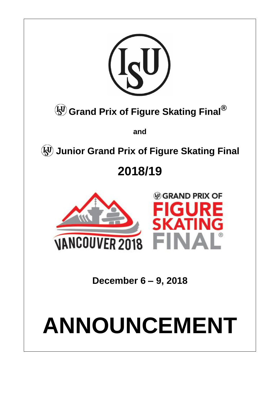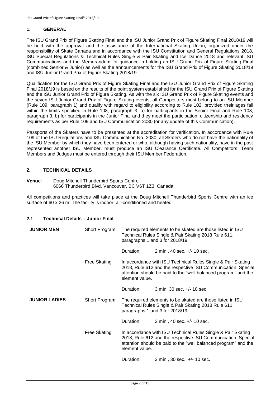# **1. GENERAL**

The ISU Grand Prix of Figure Skating Final and the ISU Junior Grand Prix of Figure Skating Final 2018/19 will be held with the approval and the assistance of the International Skating Union, organized under the responsibility of Skate Canada and in accordance with the ISU Constitution and General Regulations 2018, ISU Special Regulations & Technical Rules Single & Pair Skating and Ice Dance 2018 and relevant ISU Communications and the Memorandum for guidance in holding an ISU Grand Prix of Figure Skating Final (combined Senior & Junior) as well as the announcements for the ISU Grand Prix of Figure Skating 2018/19 and ISU Junior Grand Prix of Figure Skating 2018/19.

Qualification for the ISU Grand Prix of Figure Skating Final and the ISU Junior Grand Prix of Figure Skating Final 2018/19 is based on the results of the point system established for the ISU Grand Prix of Figure Skating and the ISU Junior Grand Prix of Figure Skating. As with the six ISU Grand Prix of Figure Skating events and the seven ISU Junior Grand Prix of Figure Skating events, all Competitors must belong to an ISU Member (Rule 109, paragraph 1) and qualify with regard to eligibility according to Rule 102, provided their ages fall within the limits specified in Rule 108, paragraph 3. a) for participants in the Senior Final and Rule 108, paragraph 3. b) for participants in the Junior Final and they meet the participation, citizenship and residency requirements as per Rule 109 and ISU Communication 2030 (or any update of this Communication).

Passports of the Skaters have to be presented at the accreditation for verification. In accordance with Rule 109 of the ISU Regulations and ISU Communication No. 2030, all Skaters who do not have the nationality of the ISU Member by which they have been entered or who, although having such nationality, have in the past represented another ISU Member, must produce an ISU Clearance Certificate. All Competitors, Team Members and Judges must be entered through their ISU Member Federation.

# **2. TECHNICAL DETAILS**

.

**Venue**: Doug Mitchell Thunderbird Sports Centre 6066 Thunderbird Blvd, Vancouver, BC V6T 1Z3, Canada

All competitions and practices will take place at the Doug Mitchell Thunderbird Sports Centre with an ice surface of 60 x 26 m. The facility is indoor, air-conditioned and heated.

# **2.1 Technical Details – Junior Final**

| <b>JUNIOR MEN</b>    | Short Program       | The required elements to be skated are those listed in ISU<br>Technical Rules Single & Pair Skating 2018 Rule 611,<br>paragraphs 1 and 3 for 2018/19.                                                             |                                                                                                                                                                                                 |  |
|----------------------|---------------------|-------------------------------------------------------------------------------------------------------------------------------------------------------------------------------------------------------------------|-------------------------------------------------------------------------------------------------------------------------------------------------------------------------------------------------|--|
|                      |                     | Duration:                                                                                                                                                                                                         | 2 min., 40 sec. +/- 10 sec.                                                                                                                                                                     |  |
|                      | Free Skating        | element value.                                                                                                                                                                                                    | In accordance with ISU Technical Rules Single & Pair Skating<br>2018, Rule 612 and the respective ISU Communication. Special<br>attention should be paid to the "well balanced program" and the |  |
|                      |                     | Duration:                                                                                                                                                                                                         | 3 min, 30 sec, +/- 10 sec.                                                                                                                                                                      |  |
| <b>JUNIOR LADIES</b> | Short Program       |                                                                                                                                                                                                                   | The required elements to be skated are those listed in ISU<br>Technical Rules Single & Pair Skating 2018 Rule 611,<br>paragraphs 1 and 3 for 2018/19.                                           |  |
|                      |                     | Duration:                                                                                                                                                                                                         | 2 min., 40 sec. +/- 10 sec.                                                                                                                                                                     |  |
|                      | <b>Free Skating</b> | In accordance with ISU Technical Rules Single & Pair Skating<br>2018, Rule 612 and the respective ISU Communication. Special<br>attention should be paid to the "well balanced program" and the<br>element value. |                                                                                                                                                                                                 |  |
|                      |                     | Duration:                                                                                                                                                                                                         | 3 min., 30 sec., +/- 10 sec.                                                                                                                                                                    |  |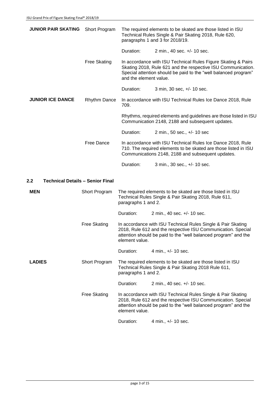| <b>JUNIOR PAIR SKATING</b>                     | Short Program       |                        | The required elements to be skated are those listed in ISU<br>Technical Rules Single & Pair Skating 2018, Rule 620,<br>paragraphs 1 and 3 for 2018/19.                                           |  |
|------------------------------------------------|---------------------|------------------------|--------------------------------------------------------------------------------------------------------------------------------------------------------------------------------------------------|--|
|                                                |                     | Duration:              | 2 min., 40 sec. +/- 10 sec.                                                                                                                                                                      |  |
|                                                | <b>Free Skating</b> | and the element value. | In accordance with ISU Technical Rules Figure Skating & Pairs<br>Skating 2018, Rule 621 and the respective ISU Communication.<br>Special attention should be paid to the "well balanced program" |  |
|                                                |                     | Duration:              | 3 min, 30 sec, +/- 10 sec.                                                                                                                                                                       |  |
| <b>JUNIOR ICE DANCE</b>                        | <b>Rhythm Dance</b> | 709.                   | In accordance with ISU Technical Rules Ice Dance 2018, Rule                                                                                                                                      |  |
|                                                |                     |                        | Rhythms, required elements and guidelines are those listed in ISU<br>Communication 2148, 2188 and subsequent updates.                                                                            |  |
|                                                |                     | Duration:              | 2 min., 50 sec., +/- 10 sec                                                                                                                                                                      |  |
|                                                | <b>Free Dance</b>   |                        | In accordance with ISU Technical Rules Ice Dance 2018, Rule<br>710. The required elements to be skated are those listed in ISU<br>Communications 2148, 2188 and subsequent updates.              |  |
|                                                |                     | Duration:              | 3 min., 30 sec., +/- 10 sec.                                                                                                                                                                     |  |
| 2.2<br><b>Technical Details - Senior Final</b> |                     |                        |                                                                                                                                                                                                  |  |
| <b>MEN</b>                                     | Short Program       | paragraphs 1 and 2.    | The required elements to be skated are those listed in ISU<br>Technical Rules Single & Pair Skating 2018, Rule 611,                                                                              |  |
|                                                |                     | Duration:              | 2 min., 40 sec. +/- 10 sec.                                                                                                                                                                      |  |
|                                                | <b>Free Skating</b> | element value.         | In accordance with ISU Technical Rules Single & Pair Skating<br>2018, Rule 612 and the respective ISU Communication. Special<br>attention should be paid to the "well balanced program" and the  |  |
|                                                |                     | Duration:              | 4 min., +/- 10 sec.                                                                                                                                                                              |  |
| <b>LADIES</b>                                  | Short Program       | paragraphs 1 and 2.    | The required elements to be skated are those listed in ISU<br>Technical Rules Single & Pair Skating 2018 Rule 611,                                                                               |  |
|                                                |                     | Duration:              | 2 min., 40 sec. +/- 10 sec.                                                                                                                                                                      |  |
|                                                | <b>Free Skating</b> | element value.         | In accordance with ISU Technical Rules Single & Pair Skating<br>2018, Rule 612 and the respective ISU Communication. Special<br>attention should be paid to the "well balanced program" and the  |  |
|                                                |                     | Duration:              | 4 min., +/- 10 sec.                                                                                                                                                                              |  |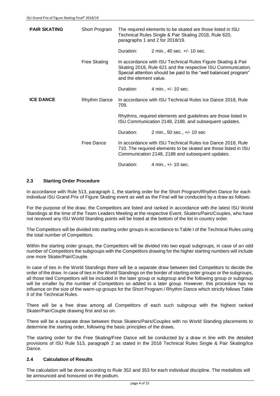| <b>PAIR SKATING</b> | Short Program | The required elements to be skated are those listed in ISU<br>Technical Rules Single & Pair Skating 2018, Rule 620,<br>paragraphs 1 and 2 for 2018/19.                                                                    |                                                                                                                                                                                    |  |
|---------------------|---------------|---------------------------------------------------------------------------------------------------------------------------------------------------------------------------------------------------------------------------|------------------------------------------------------------------------------------------------------------------------------------------------------------------------------------|--|
|                     |               | Duration:                                                                                                                                                                                                                 | 2 min., 40 sec. +/- 10 sec.                                                                                                                                                        |  |
|                     | Free Skating  | In accordance with ISU Technical Rules Figure Skating & Pair<br>Skating 2018, Rule 621 and the respective ISU Communication.<br>Special attention should be paid to the "well balanced program"<br>and the element value. |                                                                                                                                                                                    |  |
|                     |               | Duration:                                                                                                                                                                                                                 | 4 min., $+/- 10$ sec.                                                                                                                                                              |  |
| <b>ICE DANCE</b>    | Rhythm Dance  | 709.                                                                                                                                                                                                                      | In accordance with ISU Technical Rules Ice Dance 2018, Rule                                                                                                                        |  |
|                     |               |                                                                                                                                                                                                                           | Rhythms, required elements and guidelines are those listed in<br>ISU Communication 2148, 2188, and subsequent updates.                                                             |  |
|                     |               | Duration:                                                                                                                                                                                                                 | 2 min., 50 sec., +/- 10 sec                                                                                                                                                        |  |
|                     | Free Dance    |                                                                                                                                                                                                                           | In accordance with ISU Technical Rules Ice Dance 2018, Rule<br>710. The required elements to be skated are those listed in ISU<br>Communication 2148, 2188 and subsequent updates. |  |
|                     |               | Duration:                                                                                                                                                                                                                 | 4 min., +/- 10 sec.                                                                                                                                                                |  |

# **2.3 Starting Order Procedure**

In accordance with Rule 513, paragraph 1, the starting order for the Short Program/Rhythm Dance for each individual ISU Grand Prix of Figure Skating event as well as the Final will be conducted by a draw as follows:

For the purpose of the draw, the Competitors are listed and ranked in accordance with the latest ISU World Standings at the time of the Team Leaders Meeting at the respective Event. Skaters/Pairs/Couples, who have not received any ISU World Standing points will be listed at the bottom of the list in country order.

The Competitors will be divided into starting order groups in accordance to Table I of the Technical Rules using the total number of Competitors.

Within the starting order groups, the Competitors will be divided into two equal subgroups, in case of an odd number of Competitors the subgroups with the Competitors drawing for the higher starting numbers will include one more Skater/Pair/Couple.

In case of ties in the World Standings there will be a separate draw between tied Competitors to decide the order of the draw. In case of ties in the World Standings on the border of starting order groups or the subgroups, all those tied Competitors will be included in the later group or subgroup and the following group or subgroup will be smaller by the number of Competitors so added to a later group. However, this procedure has no influence on the size of the warm-up groups for the Short Program / Rhythm Dance which strictly follows Table II of the Technical Rules.

There will be a free draw among all Competitors of each such subgroup with the highest ranked Skater/Pair/Couple drawing first and so on.

There will be a separate draw between those Skaters/Pairs/Couples with no World Standing placements to determine the starting order, following the basic principles of the draws.

The starting order for the Free Skating/Free Dance will be conducted by a draw in line with the detailed provisions of ISU Rule 513, paragraph 2 as stated in the 2018 Technical Rules Single & Pair Skating/Ice Dance.

# **2.4 Calculation of Results**

The calculation will be done according to Rule 352 and 353 for each individual discipline. The medallists will be announced and honoured on the podium.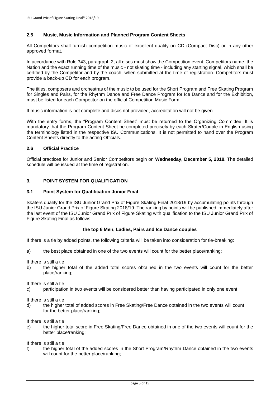### **2.5 Music, Music Information and Planned Program Content Sheets**

All Competitors shall furnish competition music of excellent quality on CD (Compact Disc) or in any other approved format.

In accordance with Rule 343, paragraph 2, all discs must show the Competition event, Competitors name, the Nation and the exact running time of the music - not skating time - including any starting signal, which shall be certified by the Competitor and by the coach, when submitted at the time of registration. Competitors must provide a back-up CD for each program.

The titles, composers and orchestras of the music to be used for the Short Program and Free Skating Program for Singles and Pairs, for the Rhythm Dance and Free Dance Program for Ice Dance and for the Exhibition, must be listed for each Competitor on the official Competition Music Form.

If music information is not complete and discs not provided, accreditation will not be given.

With the entry forms, the "Program Content Sheet" must be returned to the Organizing Committee. It is mandatory that the Program Content Sheet be completed precisely by each Skater/Couple in English using the terminology listed in the respective ISU Communications. It is not permitted to hand over the Program Content Sheets directly to the acting Officials.

### **2.6 Official Practice**

Official practices for Junior and Senior Competitors begin on **Wednesday, December 5, 2018.** The detailed schedule will be issued at the time of registration.

### **3. POINT SYSTEM FOR QUALIFICATION**

#### **3.1 Point System for Qualification Junior Final**

Skaters qualify for the ISU Junior Grand Prix of Figure Skating Final 2018/19 by accumulating points through the ISU Junior Grand Prix of Figure Skating 2018/19. The ranking by points will be published immediately after the last event of the ISU Junior Grand Prix of Figure Skating with qualification to the ISU Junior Grand Prix of Figure Skating Final as follows:

#### **the top 6 Men, Ladies, Pairs and Ice Dance couples**

If there is a tie by added points, the following criteria will be taken into consideration for tie-breaking:

a) the best place obtained in one of the two events will count for the better place/ranking;

If there is still a tie

b) the higher total of the added total scores obtained in the two events will count for the better place/ranking;

If there is still a tie

c) participation in two events will be considered better than having participated in only one event

If there is still a tie

d) the higher total of added scores in Free Skating/Free Dance obtained in the two events will count for the better place/ranking;

If there is still a tie

e) the higher total score in Free Skating/Free Dance obtained in one of the two events will count for the better place/ranking;

If there is still a tie

f) the higher total of the added scores in the Short Program/Rhythm Dance obtained in the two events will count for the better place/ranking;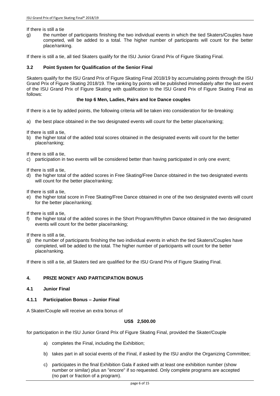If there is still a tie

g) the number of participants finishing the two individual events in which the tied Skaters/Couples have competed, will be added to a total. The higher number of participants will count for the better place/ranking.

If there is still a tie, all tied Skaters qualify for the ISU Junior Grand Prix of Figure Skating Final.

#### **3.2 Point System for Qualification of the Senior Final**

Skaters qualify for the ISU Grand Prix of Figure Skating Final 2018/19 by accumulating points through the ISU Grand Prix of Figure Skating 2018/19. The ranking by points will be published immediately after the last event of the ISU Grand Prix of Figure Skating with qualification to the ISU Grand Prix of Figure Skating Final as follows:

#### **the top 6 Men, Ladies, Pairs and Ice Dance couples**

If there is a tie by added points, the following criteria will be taken into consideration for tie-breaking:

a) the best place obtained in the two designated events will count for the better place/ranking;

If there is still a tie,

b) the higher total of the added total scores obtained in the designated events will count for the better place/ranking;

If there is still a tie,

c) participation in two events will be considered better than having participated in only one event;

If there is still a tie,

d) the higher total of the added scores in Free Skating/Free Dance obtained in the two designated events will count for the better place/ranking;

If there is still a tie,

e) the higher total score in Free Skating/Free Dance obtained in one of the two designated events will count for the better place/ranking;

If there is still a tie,

f) the higher total of the added scores in the Short Program/Rhythm Dance obtained in the two designated events will count for the better place/ranking;

If there is still a tie,

g) the number of participants finishing the two individual events in which the tied Skaters/Couples have completed, will be added to the total. The higher number of participants will count for the better place/ranking.

If there is still a tie, all Skaters tied are qualified for the ISU Grand Prix of Figure Skating Final.

#### **4. PRIZE MONEY AND PARTICIPATION BONUS**

**4.1 Junior Final**

### **4.1.1 Participation Bonus – Junior Final**

A Skater/Couple will receive an extra bonus of

# **US\$ 2,500.00**

for participation in the ISU Junior Grand Prix of Figure Skating Final, provided the Skater/Couple

- a) completes the Final, including the Exhibition;
- b) takes part in all social events of the Final, if asked by the ISU and/or the Organizing Committee;
- c) participates in the final Exhibition Gala if asked with at least one exhibition number (show number or similar) plus an "encore" if so requested. Only complete programs are accepted (no part or fraction of a program).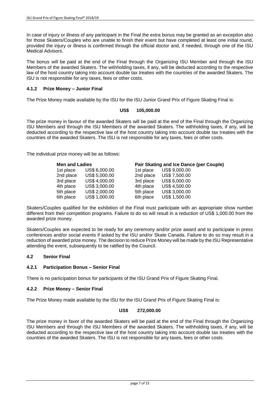In case of injury or illness of any participant in the Final the extra bonus may be granted as an exception also for those Skaters/Couples who are unable to finish their event but have completed at least one initial round, provided the injury or illness is confirmed through the official doctor and, if needed, through one of the ISU Medical Advisors.

The bonus will be paid at the end of the Final through the Organizing ISU Member and through the ISU Members of the awarded Skaters. The withholding taxes, if any, will be deducted according to the respective law of the host country taking into account double tax treaties with the countries of the awarded Skaters. The ISU is not responsible for any taxes, fees or other costs.

### **4.1.2 Prize Money – Junior Final**

The Prize Money made available by the ISU for the ISU Junior Grand Prix of Figure Skating Final is:

### **US\$ 105,000.00**

The prize money in favour of the awarded Skaters will be paid at the end of the Final through the Organizing ISU Members and through the ISU Members of the awarded Skaters. The withholding taxes, if any, will be deducted according to the respective law of the host country taking into account double tax treaties with the countries of the awarded Skaters. The ISU is not responsible for any taxes, fees or other costs.

The individual prize money will be as follows:

| <b>Men and Ladies</b> |               |           | Pair Skating and Ice Dance (per Couple) |  |  |
|-----------------------|---------------|-----------|-----------------------------------------|--|--|
| 1st place             | US\$ 6,000.00 | 1st place | US\$ 9,000.00                           |  |  |
| 2nd place             | US\$ 5,000.00 | 2nd place | US\$ 7,500.00                           |  |  |
| 3rd place             | US\$ 4,000.00 | 3rd place | US\$ 6,000.00                           |  |  |
| 4th place             | US\$ 3,000.00 | 4th place | US\$ 4,500.00                           |  |  |
| 5th place             | US\$ 2,000.00 | 5th place | US\$ 3,000.00                           |  |  |
| 6th place             | US\$ 1,000.00 | 6th place | US\$ 1,500.00                           |  |  |

Skaters/Couples qualified for the exhibition of the Final must participate with an appropriate show number different from their competition programs. Failure to do so will result in a reduction of US\$ 1,000.00 from the awarded prize money.

Skaters/Couples are expected to be ready for any ceremony and/or prize award and to participate in press conferences and/or social events if asked by the ISU and/or Skate Canada. Failure to do so may result in a reduction of awarded prize money. The decision to reduce Prize Money will be made by the ISU Representative attending the event, subsequently to be ratified by the Council.

# **4.2 Senior Final**

#### **4.2.1 Participation Bonus – Senior Final**

There is no participation bonus for participants of the ISU Grand Prix of Figure Skating Final.

#### **4.2.2 Prize Money – Senior Final**

The Prize Money made available by the ISU for the ISU Grand Prix of Figure Skating Final is:

#### **US\$ 272,000.00**

The prize money in favor of the awarded Skaters will be paid at the end of the Final through the Organizing ISU Members and through the ISU Members of the awarded Skaters. The withholding taxes, if any, will be deducted according to the respective law of the host country taking into account double tax treaties with the countries of the awarded Skaters. The ISU is not responsible for any taxes, fees or other costs.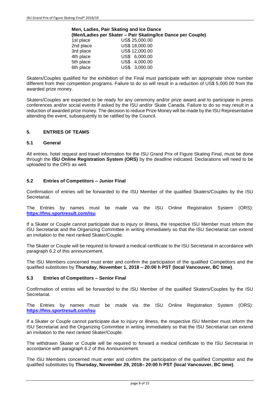#### **Men, Ladies, Pair Skating and Ice Dance (Men/Ladies per Skater – Pair Skating/Ice Dance per Couple)**

| 1st place | US\$ 25,000.00 |
|-----------|----------------|
| 2nd place | US\$ 18,000.00 |
| 3rd place | US\$ 12,000.00 |
| 4th place | US\$ 6,000.00  |
| 5th place | US\$ 4,000.00  |
| 6th place | US\$ 3,000.00  |
|           |                |

Skaters/Couples qualified for the exhibition of the Final must participate with an appropriate show number different from their competition programs. Failure to do so will result in a reduction of US\$ 5,000.00 from the awarded prize money.

Skaters/Couples are expected to be ready for any ceremony and/or prize award and to participate in press conferences and/or social events if asked by the ISU and/or Skate Canada. Failure to do so may result in a reduction of awarded prize money. The decision to reduce Prize Money will be made by the ISU Representative attending the event, subsequently to be ratified by the Council.

# **5. ENTRIES OF TEAMS**

# **5.1 General**

All entries, hotel request and travel information for the ISU Grand Prix of Figure Skating Final, must be done through the **ISU Online Registration System (ORS)** by the deadline indicated. Declarations will need to be uploaded to the ORS as well.

#### **5.2 Entries of Competitors – Junior Final**

Confirmation of entries will be forwarded to the ISU Member of the qualified Skaters/Couples by the ISU Secretariat.

The Entries by names must be made via the ISU Online Registration System (ORS): **<https://fms.sportresult.com/isu>**

If a Skater or Couple cannot participate due to injury or illness, the respective ISU Member must inform the ISU Secretariat and the Organizing Committee in writing immediately so that the ISU Secretariat can extend an invitation to the next ranked Skater/Couple.

The Skater or Couple will be required to forward a medical certificate to the ISU Secretariat in accordance with paragraph 6.2 of this announcement.

The ISU Members concerned must enter and confirm the participation of the qualified Competitors and the qualified substitutes by **Thursday, November 1, 2018 – 20:00 h PST (local Vancouver, BC time)**.

#### **5.3 Entries of Competitors – Senior Final**

Confirmation of entries will be forwarded to the ISU Member of the qualified Skaters/Couples by the ISU Secretariat.

The Entries by names must be made via the ISU Online Registration System (ORS): **<https://fms.sportresult.com/isu>**

If a Skater or Couple cannot participate due to injury or illness, the respective ISU Member must inform the ISU Secretariat and the Organizing Committee in writing immediately so that the ISU Secretariat can extend an invitation to the next ranked Skater/Couple.

The withdrawn Skater or Couple will be required to forward a medical certificate to the ISU Secretariat in accordance with paragraph 6.2 of this Announcement.

The ISU Members concerned must enter and confirm the participation of the qualified Competitor and the qualified substitutes by **Thursday, November 29, 2018– 20:00 h PST (local Vancouver, BC time)**.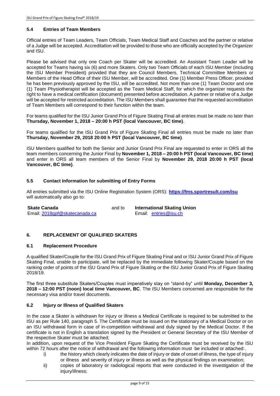# **5.4 Entries of Team Members**

Official entries of Team Leaders, Team Officials, Team Medical Staff and Coaches and the partner or relative of a Judge will be accepted. Accreditation will be provided to those who are officially accepted by the Organizer and ISU.

Please be advised that only one Coach per Skater will be accredited. An Assistant Team Leader will be accepted for Teams having six (6) and more Skaters. Only two Team Officials of each ISU Member (including the ISU Member President) provided that they are Council Members, Technical Committee Members or Members of the Head Office of their ISU Member, will be accredited. One (1) Member Press Officer, provided he has been previously approved by the ISU, will be accredited. Not more than one (1) Team Doctor and one (1) Team Physiotherapist will be accepted as the Team Medical Staff, for which the organizer requests the right to have a medical certification (document) presented before accreditation. A partner or relative of a Judge will be accepted for restricted accreditation. The ISU Members shall guarantee that the requested accreditation of Team Members will correspond to their function within the team.

For teams qualified for the ISU Junior Grand Prix of Figure Skating Final all entries must be made no later than **Thursday, November 1, 2018 – 20:00 h PST (local Vancouver, BC time)**.

For teams qualified for the ISU Grand Prix of Figure Skating Final all entries must be made no later than **Thursday, November 29, 2018 20:00 h PST (local Vancouver, BC time)**.

ISU Members qualified for both the Senior and Junior Grand Prix Final are requested to enter in ORS all the team members concerning the Junior Final by **November 1, 2018 – 20:00 h PST (local Vancouver, BC time)** and enter in ORS all team members of the Senior Final by **November 29, 2018 20:00 h PST (local Vancouver, BC time)**.

# **5.5 Contact Information for submitting of Entry Forms**

All entries submitted via the ISU Online Registration System (ORS): **<https://fms.sportresult.com/isu>** will automatically also go to:

| <b>Skate Canada</b>           | and to | <b>International Skating Union</b> |  |
|-------------------------------|--------|------------------------------------|--|
| Email: 2018gpf@skatecanada.ca |        | Email: entries@isu.ch              |  |

# **6. REPLACEMENT OF QUALIFIED SKATERS**

#### **6.1 Replacement Procedure**

A qualified Skater/Couple for the ISU Grand Prix of Figure Skating Final and or ISU Junior Grand Prix of Figure Skating Final, unable to participate, will be replaced by the immediate following Skater/Couple based on the ranking order of points of the ISU Grand Prix of Figure Skating or the ISU Junior Grand Prix of Figure Skating 2018/19.

The first three substitute Skaters/Couples must imperatively stay on "stand-by" until **Monday, December 3, 2018 – 12:00 PST (noon) local time Vancouver, BC**. The ISU Members concerned are responsible for the necessary visa and/or travel documents.

#### **6.2 Injury or Illness of Qualified Skaters**

In the case a Skater is withdrawn for injury or illness a Medical Certificate is required to be submitted to the ISU as per Rule 140, paragraph 5. The Certificate must be issued on the stationary of a Medical Doctor or on an ISU withdrawal form in case of in-competition withdrawal and duly signed by the Medical Doctor. If the certificate is not in English a translation signed by the President or General Secretary of the ISU Member of the respective Skater must be attached;

In addition, upon request of the Vice President Figure Skating the Certificate must be received by the ISU within 72 hours after the notice of withdrawal and the following information must be included or attached:.

- i) the history which clearly indicates the date of injury or date of onset of illness, the type of injury or illness and severity of injury or illness as well as the physical findings on examination;
- ii) copies of laboratory or radiological reports that were conducted in the investigation of the injury/illness;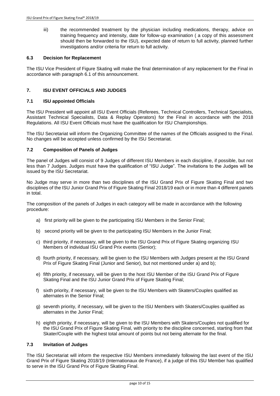iii) the recommended treatment by the physician including medications, therapy, advice on training frequency and intensity, date for follow-up examination ( a copy of this assessment should then be forwarded to the ISU), expected date of return to full activity, planned further investigations and/or criteria for return to full activity.

#### **6.3 Decision for Replacement**

The ISU Vice President of Figure Skating will make the final determination of any replacement for the Final in accordance with paragraph 6.1 of this announcement.

### **7. ISU EVENT OFFICIALS AND JUDGES**

### **7.1 ISU appointed Officials**

The ISU President will appoint all ISU Event Officials (Referees, Technical Controllers, Technical Specialists, Assistant Technical Specialists, Data & Replay Operators) for the Final in accordance with the 2018 Regulations. All ISU Event Officials must have the qualification for ISU Championships.

The ISU Secretariat will inform the Organizing Committee of the names of the Officials assigned to the Final. No changes will be accepted unless confirmed by the ISU Secretariat.

#### **7.2 Composition of Panels of Judges**

The panel of Judges will consist of 9 Judges of different ISU Members in each discipline, if possible, but not less than 7 Judges. Judges must have the qualification of "ISU Judge". The invitations to the Judges will be issued by the ISU Secretariat.

No Judge may serve in more than two disciplines of the ISU Grand Prix of Figure Skating Final and two disciplines of the ISU Junior Grand Prix of Figure Skating Final 2018/19 each or in more than 4 different panels in total.

The composition of the panels of Judges in each category will be made in accordance with the following procedure:

- a) first priority will be given to the participating ISU Members in the Senior Final;
- b) second priority will be given to the participating ISU Members in the Junior Final;
- c) third priority, if necessary, will be given to the ISU Grand Prix of Figure Skating organizing ISU Members of individual ISU Grand Prix events (Senior);
- d) fourth priority, if necessary, will be given to the ISU Members with Judges present at the ISU Grand Prix of Figure Skating Final (Junior and Senior), but not mentioned under a) and b);
- e) fifth priority, if necessary, will be given to the host ISU Member of the ISU Grand Prix of Figure Skating Final and the ISU Junior Grand Prix of Figure Skating Final;
- f) sixth priority, if necessary, will be given to the ISU Members with Skaters/Couples qualified as alternates in the Senior Final;
- g) seventh priority, if necessary, will be given to the ISU Members with Skaters/Couples qualified as alternates in the Junior Final;
- h) eighth priority, if necessary, will be given to the ISU Members with Skaters/Couples not qualified for the ISU Grand Prix of Figure Skating Final, with priority to the discipline concerned, starting from that Skater/Couple with the highest total amount of points but not being alternate for the final.

#### **7.3 Invitation of Judges**

The ISU Secretariat will inform the respective ISU Members immediately following the last event of the ISU Grand Prix of Figure Skating 2018/19 (Internationaux de France), if a judge of this ISU Member has qualified to serve in the ISU Grand Prix of Figure Skating Final.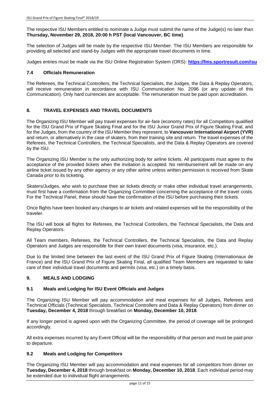The respective ISU Members entitled to nominate a Judge must submit the name of the Judge(s) no later than **Thursday, November 29, 2018, 20:00 h PST (local Vancouver, BC time)**.

The selection of Judges will be made by the respective ISU Member. The ISU Members are responsible for providing all selected and stand-by Judges with the appropriate travel documents in time.

Judges entries must be made via the ISU Online Registration System (ORS): **<https://fms.sportresult.com/isu>**

# **7.4 Officials Remuneration**

The Referees, the Technical Controllers, the Technical Specialists, the Judges, the Data & Replay Operators, will receive remuneration in accordance with ISU Communication No. 2096 (or any update of this Communication). Only hard currencies are acceptable. The remuneration must be paid upon accreditation.

# **8. TRAVEL EXPENSES AND TRAVEL DOCUMENTS**

The Organizing ISU Member will pay travel expenses for air-fare (economy rates) for all Competitors qualified for the ISU Grand Prix of Figure Skating Final and for the ISU Junior Grand Prix of Figure Skating Final, and for the Judges, from the country of the ISU Member they represent, to **Vancouver International Airport (YVR)** and return, or alternatively in the case of skaters, from their training site and return. The travel expenses of the Referees, the Technical Controllers, the Technical Specialists, and the Data & Replay Operators are covered by the ISU.

The Organizing ISU Member is the only authorizing body for airline tickets. All participants must agree to the acceptance of the provided tickets when the invitation is accepted. No reimbursement will be made on any airline ticket issued by any other agency or any other airline unless written permission is received from Skate Canada prior to its ticketing.

Skaters/Judges, who wish to purchase their air tickets directly or make other individual travel arrangements, must first have a confirmation from the Organizing Committee concerning the acceptance of the travel costs. For the Technical Panel, these should have the confirmation of the ISU before purchasing their tickets.

Once flights have been booked any changes to air tickets and related expenses will be the responsibility of the traveler.

The ISU will book all flights for Referees, the Technical Controllers, the Technical Specialists, the Data and Replay Operators.

All Team members, Referees, the Technical Controllers, the Technical Specialists, the Data and Replay Operators and Judges are responsible for their own travel documents (visa, insurance, etc.).

Due to the limited time between the last event of the ISU Grand Prix of Figure Skating (Internationaux de France) and the ISU Grand Prix of Figure Skating Final, all qualified Team Members are requested to take care of their individual travel documents and permits (visa, etc.) on a timely basis.

# **9. MEALS AND LODGING**

# **9.1 Meals and Lodging for ISU Event Officials and Judges**

The Organizing ISU Member will pay accommodation and meal expenses for all Judges, Referees and Technical Officials (Technical Specialists, Technical Controllers and Data & Replay Operators) from dinner on **Tuesday, December 4, 2018** through breakfast on **Monday, December 10, 2018**.

If any longer period is agreed upon with the Organizing Committee, the period of coverage will be prolonged accordingly.

All extra expenses incurred by any Event Official will be the responsibility of that person and must be paid prior to departure.

# **9.2 Meals and Lodging for Competitors**

The Organizing ISU Member will pay accommodation and meal expenses for all competitors from dinner on **Tuesday, December 4, 2018** through breakfast on **Monday, December 10, 2018**. Each individual period may be extended due to individual flight arrangements.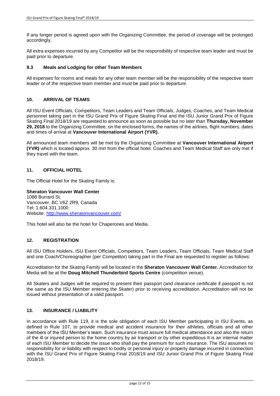If any longer period is agreed upon with the Organizing Committee, the period of coverage will be prolonged accordingly.

All extra expenses incurred by any Competitor will be the responsibility of respective team leader and must be paid prior to departure.

#### **9.3 Meals and Lodging for other Team Members**

All expenses for rooms and meals for any other team member will be the responsibility of the respective team leader or of the respective team member and must be paid prior to departure.

### **10. ARRIVAL OF TEAMS**

All ISU Event Officials, Competitors, Team Leaders and Team Officials, Judges, Coaches, and Team Medical personnel taking part in the ISU Grand Prix of Figure Skating Final and the ISU Junior Grand Prix of Figure Skating Final 2018/19 are requested to announce as soon as possible but no later than **Thursday, November 29, 2018** to the Organizing Committee, on the enclosed forms, the names of the airlines, flight numbers, dates and times of arrival at **Vancouver International Airport (YVR).**

All announced team members will be met by the Organizing Committee at **Vancouver International Airport (YVR)** which is located approx. 30 min from the official hotel. Coaches and Team Medical Staff are only met if they travel with the team.

# **11. OFFICIAL HOTEL**

The Official Hotel for the Skating Family is:

**Sheraton Vancouver Wall Center** 1088 Burrard St, Vancouver, BC V6Z 2R9, Canada Tel: 1.604.331.1000 Website: <http://www.sheratonvancouver.com/>

This hotel will also be the hotel for Chaperones and Media.

#### **12. REGISTRATION**

All ISU Office Holders, ISU Event Officials, Competitors, Team Leaders, Team Officials, Team Medical Staff and one Coach/Choreographer (per Competitor) taking part in the Final are requested to register as follows:

Accreditation for the Skating Family will be located in the **Sheraton Vancouver Wall Center.** Accreditation for Media will be at the **Doug Mitchell Thunderbird Sports Centre** (competition venue).

All Skaters and Judges will be required to present their passport (and clearance certificate if passport is not the same as the ISU Member entering the Skater) prior to receiving accreditation. Accreditation will not be issued without presentation of a valid passport.

#### **13. INSURANCE / LIABILITY**

In accordance with Rule 119, it is the sole obligation of each ISU Member participating in ISU Events, as defined in Rule 107, to provide medical and accident insurance for their athletes, officials and all other members of the ISU Member's team. Such insurance must assure full medical attendance and also the return of the ill or injured person to the home country by air transport or by other expeditious It is an internal matter of each ISU Member to decide the issue who shall pay the premium for such insurance. The ISU assumes no responsibility for or liability with respect to bodily or personal injury or property damage incurred in connection with the ISU Grand Prix of Figure Skating Final 2018/19 and ISU Junior Grand Prix of Figure Skating Final 2018/19.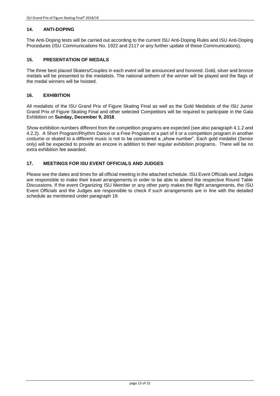# **14. ANTI-DOPING**

The Anti-Doping tests will be carried out according to the current ISU Anti-Doping Rules and ISU Anti-Doping Procedures (ISU Communications No. 1922 and 2117 or any further update of these Communications).

### **15. PRESENTATION OF MEDALS**

The three best placed Skaters/Couples in each event will be announced and honored. Gold, silver and bronze medals will be presented to the medalists. The national anthem of the winner will be played and the flags of the medal winners will be hoisted.

# **16. EXHIBITION**

All medalists of the ISU Grand Prix of Figure Skating Final as well as the Gold Medalists of the ISU Junior Grand Prix of Figure Skating Final and other selected Competitors will be required to participate in the Gala Exhibition on **Sunday, December 9, 2018**.

Show exhibition numbers different from the competition programs are expected (see also paragraph 4.1.2 and 4.2.2). A Short Program/Rhythm Dance or a Free Program or a part of it or a competition program in another costume or skated to a different music is not to be considered a "show number". Each gold medalist (Senior only) will be expected to provide an encore in addition to their regular exhibition programs. There will be no extra exhibition fee awarded.

# **17. MEETINGS FOR ISU EVENT OFFICIALS AND JUDGES**

Please see the dates and times for all official meeting in the attached schedule. ISU Event Officials and Judges are responsible to make their travel arrangements in order to be able to attend the respective Round Table Discussions. If the event Organizing ISU Member or any other party makes the flight arrangements, the ISU Event Officials and the Judges are responsible to check if such arrangements are in line with the detailed schedule as mentioned under paragraph 19.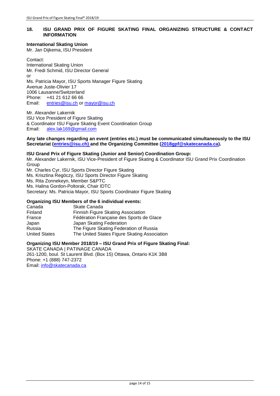# **18. ISU GRAND PRIX OF FIGURE SKATING FINAL ORGANIZING STRUCTURE & CONTACT INFORMATION**

#### **International Skating Union**

Mr. Jan Dijkema, ISU President

Contact: International Skating Union Mr. Fredi Schmid, ISU Director General or Ms. Patricia Mayor, ISU Sports Manager Figure Skating Avenue Juste-Olivier 17 1006 Lausanne/Switzerland Phone: +41 21 612 66 66 Email: [entries@isu.ch](mailto:entries@isu.ch) or [mayor@isu.ch](mailto:mayor@isu.ch)

Mr. Alexander Lakernik ISU Vice President of Figure Skating & Coordinator ISU Figure Skating Event Coordination Group<br>Email: alex.lak169@gmail.com [alex.lak169@gmail.com](mailto:alex.lak169@gmail.com)

#### **Any late changes regarding an event (entries etc.) must be communicated simultaneously to the ISU Secretariat [\(entries@isu.ch\)](mailto:entries@isu.ch) and the Organizing Committee [\(2018gpf@skatecanada.ca\)](mailto:2018gpf@skatecanada.ca).**

# **ISU Grand Prix of Figure Skating (Junior and Senior) Coordination Group:**

Mr. Alexander Lakernik, ISU Vice-President of Figure Skating & Coordinator ISU Grand Prix Coordination Group

Mr. Charles Cyr, ISU Sports Director Figure Skating Ms. Krisztina Regöczy, ISU Sports Director Figure Skating Ms. Rita Zonnekeyn, Member S&PTC Ms. Halina Gordon-Poltorak, Chair IDTC Secretary: Ms. Patricia Mayor, ISU Sports Coordinator Figure Skating

#### **Organizing ISU Members of the 6 individual events:**

| Skate Canada                                 |
|----------------------------------------------|
| Finnish Figure Skating Association           |
| Fédération Française des Sports de Glace     |
| Japan Skating Federation                     |
| The Figure Skating Federation of Russia      |
| The United States Figure Skating Association |
|                                              |

#### **Organizing ISU Member 2018/19 – ISU Grand Prix of Figure Skating Final:**

SKATE CANADA | PATINAGE CANADA 261-1200, boul. St Laurent Blvd. (Box 15) Ottawa, Ontario K1K 3B8 Phone: +1 (888) 747-2372 Email: [info@skatecanada.ca](mailto:info@skatecanada.ca)